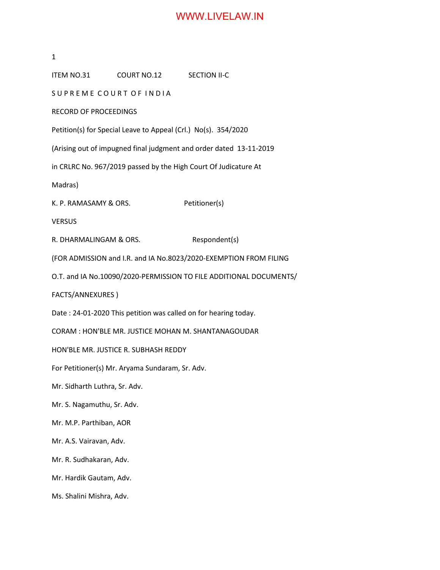## WWW.LIVELAW.IN

1 ITEM NO.31 COURT NO.12 SECTION II-C SUPREME COURT OF INDIA RECORD OF PROCEEDINGS Petition(s) for Special Leave to Appeal (Crl.) No(s). 354/2020 (Arising out of impugned final judgment and order dated 13-11-2019 in CRLRC No. 967/2019 passed by the High Court Of Judicature At Madras) K. P. RAMASAMY & ORS. Petitioner(s) VERSUS R. DHARMALINGAM & ORS. Respondent(s) (FOR ADMISSION and I.R. and IA No.8023/2020-EXEMPTION FROM FILING O.T. and IA No.10090/2020-PERMISSION TO FILE ADDITIONAL DOCUMENTS/ FACTS/ANNEXURES ) Date : 24-01-2020 This petition was called on for hearing today. CORAM : HON'BLE MR. JUSTICE MOHAN M. SHANTANAGOUDAR HON'BLE MR. JUSTICE R. SUBHASH REDDY For Petitioner(s) Mr. Aryama Sundaram, Sr. Adv. Mr. Sidharth Luthra, Sr. Adv. Mr. S. Nagamuthu, Sr. Adv. Mr. M.P. Parthiban, AOR Mr. A.S. Vairavan, Adv. Mr. R. Sudhakaran, Adv. Mr. Hardik Gautam, Adv. Ms. Shalini Mishra, Adv.